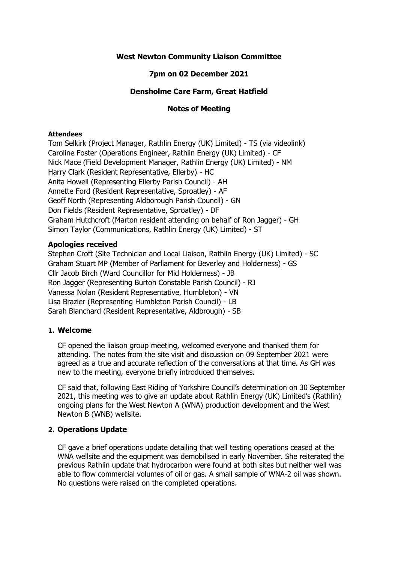### **West Newton Community Liaison Committee**

# **7pm on 02 December 2021**

### **Densholme Care Farm, Great Hatfield**

### **Notes of Meeting**

#### **Attendees**

Tom Selkirk (Project Manager, Rathlin Energy (UK) Limited) - TS (via videolink) Caroline Foster (Operations Engineer, Rathlin Energy (UK) Limited) - CF Nick Mace (Field Development Manager, Rathlin Energy (UK) Limited) - NM Harry Clark (Resident Representative, Ellerby) - HC Anita Howell (Representing Ellerby Parish Council) - AH Annette Ford (Resident Representative, Sproatley) - AF Geoff North (Representing Aldborough Parish Council) - GN Don Fields (Resident Representative, Sproatley) - DF Graham Hutchcroft (Marton resident attending on behalf of Ron Jagger) - GH Simon Taylor (Communications, Rathlin Energy (UK) Limited) - ST

### **Apologies received**

Stephen Croft (Site Technician and Local Liaison, Rathlin Energy (UK) Limited) - SC Graham Stuart MP (Member of Parliament for Beverley and Holderness) - GS Cllr Jacob Birch (Ward Councillor for Mid Holderness) - JB Ron Jagger (Representing Burton Constable Parish Council) - RJ Vanessa Nolan (Resident Representative, Humbleton) - VN Lisa Brazier (Representing Humbleton Parish Council) - LB Sarah Blanchard (Resident Representative, Aldbrough) - SB

# **1. Welcome**

CF opened the liaison group meeting, welcomed everyone and thanked them for attending. The notes from the site visit and discussion on 09 September 2021 were agreed as a true and accurate reflection of the conversations at that time. As GH was new to the meeting, everyone briefly introduced themselves.

CF said that, following East Riding of Yorkshire Council's determination on 30 September 2021, this meeting was to give an update about Rathlin Energy (UK) Limited's (Rathlin) ongoing plans for the West Newton A (WNA) production development and the West Newton B (WNB) wellsite.

# **2. Operations Update**

CF gave a brief operations update detailing that well testing operations ceased at the WNA wellsite and the equipment was demobilised in early November. She reiterated the previous Rathlin update that hydrocarbon were found at both sites but neither well was able to flow commercial volumes of oil or gas. A small sample of WNA-2 oil was shown. No questions were raised on the completed operations.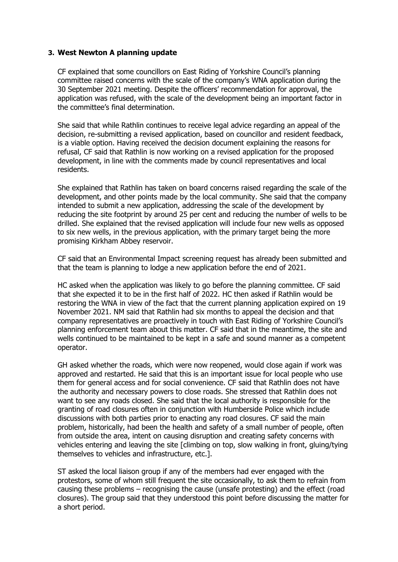### **3. West Newton A planning update**

CF explained that some councillors on East Riding of Yorkshire Council's planning committee raised concerns with the scale of the company's WNA application during the 30 September 2021 meeting. Despite the officers' recommendation for approval, the application was refused, with the scale of the development being an important factor in the committee's final determination.

She said that while Rathlin continues to receive legal advice regarding an appeal of the decision, re-submitting a revised application, based on councillor and resident feedback, is a viable option. Having received the decision document explaining the reasons for refusal, CF said that Rathlin is now working on a revised application for the proposed development, in line with the comments made by council representatives and local residents.

She explained that Rathlin has taken on board concerns raised regarding the scale of the development, and other points made by the local community. She said that the company intended to submit a new application, addressing the scale of the development by reducing the site footprint by around 25 per cent and reducing the number of wells to be drilled. She explained that the revised application will include four new wells as opposed to six new wells, in the previous application, with the primary target being the more promising Kirkham Abbey reservoir.

CF said that an Environmental Impact screening request has already been submitted and that the team is planning to lodge a new application before the end of 2021.

HC asked when the application was likely to go before the planning committee. CF said that she expected it to be in the first half of 2022. HC then asked if Rathlin would be restoring the WNA in view of the fact that the current planning application expired on 19 November 2021. NM said that Rathlin had six months to appeal the decision and that company representatives are proactively in touch with East Riding of Yorkshire Council's planning enforcement team about this matter. CF said that in the meantime, the site and wells continued to be maintained to be kept in a safe and sound manner as a competent operator.

GH asked whether the roads, which were now reopened, would close again if work was approved and restarted. He said that this is an important issue for local people who use them for general access and for social convenience. CF said that Rathlin does not have the authority and necessary powers to close roads. She stressed that Rathlin does not want to see any roads closed. She said that the local authority is responsible for the granting of road closures often in conjunction with Humberside Police which include discussions with both parties prior to enacting any road closures. CF said the main problem, historically, had been the health and safety of a small number of people, often from outside the area, intent on causing disruption and creating safety concerns with vehicles entering and leaving the site [climbing on top, slow walking in front, gluing/tying themselves to vehicles and infrastructure, etc.].

ST asked the local liaison group if any of the members had ever engaged with the protestors, some of whom still frequent the site occasionally, to ask them to refrain from causing these problems – recognising the cause (unsafe protesting) and the effect (road closures). The group said that they understood this point before discussing the matter for a short period.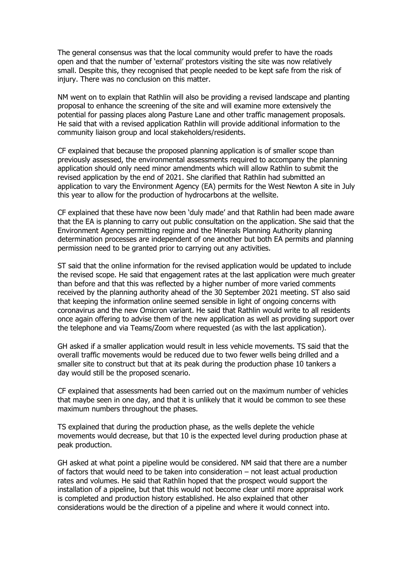The general consensus was that the local community would prefer to have the roads open and that the number of 'external' protestors visiting the site was now relatively small. Despite this, they recognised that people needed to be kept safe from the risk of injury. There was no conclusion on this matter.

NM went on to explain that Rathlin will also be providing a revised landscape and planting proposal to enhance the screening of the site and will examine more extensively the potential for passing places along Pasture Lane and other traffic management proposals. He said that with a revised application Rathlin will provide additional information to the community liaison group and local stakeholders/residents.

CF explained that because the proposed planning application is of smaller scope than previously assessed, the environmental assessments required to accompany the planning application should only need minor amendments which will allow Rathlin to submit the revised application by the end of 2021. She clarified that Rathlin had submitted an application to vary the Environment Agency (EA) permits for the West Newton A site in July this year to allow for the production of hydrocarbons at the wellsite.

CF explained that these have now been 'duly made' and that Rathlin had been made aware that the EA is planning to carry out public consultation on the application. She said that the Environment Agency permitting regime and the Minerals Planning Authority planning determination processes are independent of one another but both EA permits and planning permission need to be granted prior to carrying out any activities.

ST said that the online information for the revised application would be updated to include the revised scope. He said that engagement rates at the last application were much greater than before and that this was reflected by a higher number of more varied comments received by the planning authority ahead of the 30 September 2021 meeting. ST also said that keeping the information online seemed sensible in light of ongoing concerns with coronavirus and the new Omicron variant. He said that Rathlin would write to all residents once again offering to advise them of the new application as well as providing support over the telephone and via Teams/Zoom where requested (as with the last application).

GH asked if a smaller application would result in less vehicle movements. TS said that the overall traffic movements would be reduced due to two fewer wells being drilled and a smaller site to construct but that at its peak during the production phase 10 tankers a day would still be the proposed scenario.

CF explained that assessments had been carried out on the maximum number of vehicles that maybe seen in one day, and that it is unlikely that it would be common to see these maximum numbers throughout the phases.

TS explained that during the production phase, as the wells deplete the vehicle movements would decrease, but that 10 is the expected level during production phase at peak production.

GH asked at what point a pipeline would be considered. NM said that there are a number of factors that would need to be taken into consideration – not least actual production rates and volumes. He said that Rathlin hoped that the prospect would support the installation of a pipeline, but that this would not become clear until more appraisal work is completed and production history established. He also explained that other considerations would be the direction of a pipeline and where it would connect into.